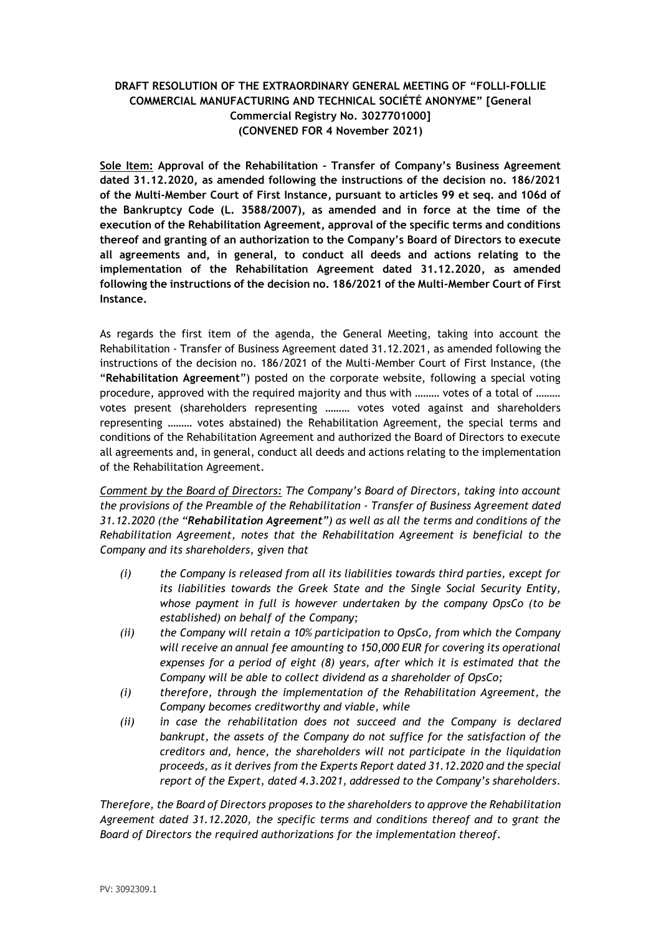## **DRAFT RESOLUTION OF THE EXTRAORDINARY GENERAL MEETING OF "FOLLI-FOLLIE COMMERCIAL MANUFACTURING AND TECHNICAL SOCIÉTÉ ANONYME" [General Commercial Registry No. 3027701000] (CONVENED FOR 4 November 2021)**

**Sole Item: Approval of the Rehabilitation - Transfer of Company's Business Agreement dated 31.12.2020, as amended following the instructions of the decision no. 186/2021 of the Multi-Member Court of First Instance, pursuant to articles 99 et seq. and 106d of the Bankruptcy Code (L. 3588/2007), as amended and in force at the time of the execution of the Rehabilitation Agreement, approval of the specific terms and conditions thereof and granting of an authorization to the Company's Board of Directors to execute all agreements and, in general, to conduct all deeds and actions relating to the implementation of the Rehabilitation Agreement dated 31.12.2020, as amended following the instructions of the decision no. 186/2021 of the Multi-Member Court of First Instance.**

As regards the first item of the agenda, the General Meeting, taking into account the Rehabilitation - Transfer of Business Agreement dated 31.12.2021, as amended following the instructions of the decision no. 186/2021 of the Multi-Member Court of First Instance, (the "**Rehabilitation Agreement**") posted on the corporate website, following a special voting procedure, approved with the required majority and thus with ……… votes of a total of ……… votes present (shareholders representing ……… votes voted against and shareholders representing ……… votes abstained) the Rehabilitation Agreement, the special terms and conditions of the Rehabilitation Agreement and authorized the Board of Directors to execute all agreements and, in general, conduct all deeds and actions relating to the implementation of the Rehabilitation Agreement.

*Comment by the Board of Directors: The Company's Board of Directors, taking into account the provisions of the Preamble of the Rehabilitation - Transfer of Business Agreement dated 31.12.2020 (the "Rehabilitation Agreement") as well as all the terms and conditions of the Rehabilitation Agreement, notes that the Rehabilitation Agreement is beneficial to the Company and its shareholders, given that*

- *(i) the Company is released from all its liabilities towards third parties, except for its liabilities towards the Greek State and the Single Social Security Entity, whose payment in full is however undertaken by the company OpsCo (to be established) on behalf of the Company;*
- *(ii) the Company will retain a 10% participation to OpsCo, from which the Company will receive an annual fee amounting to 150,000 EUR for covering its operational expenses for a period of eight (8) years, after which it is estimated that the Company will be able to collect dividend as a shareholder of OpsCo;*
- *(i) therefore, through the implementation of the Rehabilitation Agreement, the Company becomes creditworthy and viable, while*
- *(ii) in case the rehabilitation does not succeed and the Company is declared bankrupt, the assets of the Company do not suffice for the satisfaction of the creditors and, hence, the shareholders will not participate in the liquidation proceeds, as it derives from the Experts Report dated 31.12.2020 and the special report of the Expert, dated 4.3.2021, addressed to the Company's shareholders.*

*Therefore, the Board of Directors proposes to the shareholders to approve the Rehabilitation Agreement dated 31.12.2020, the specific terms and conditions thereof and to grant the Board of Directors the required authorizations for the implementation thereof.*